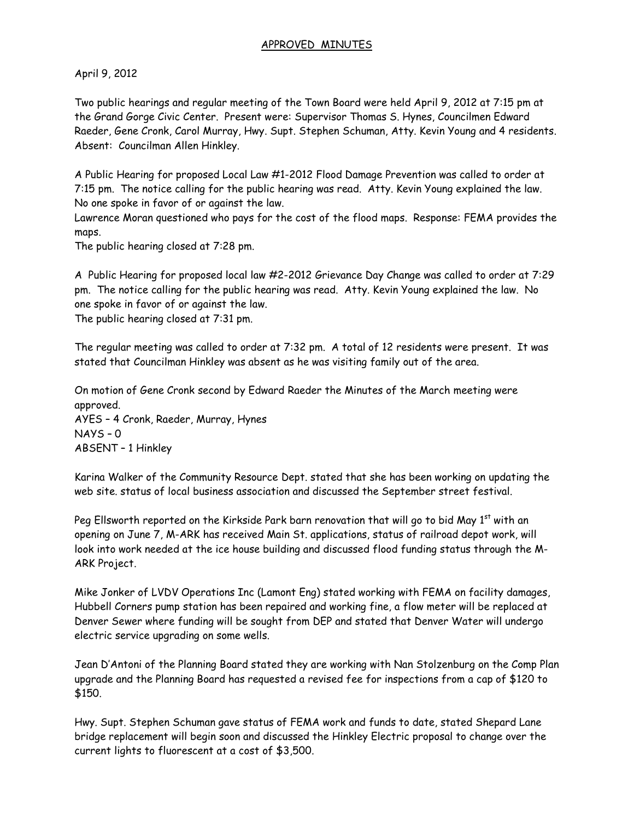## APPROVED MINUTES

April 9, 2012

Two public hearings and regular meeting of the Town Board were held April 9, 2012 at 7:15 pm at the Grand Gorge Civic Center. Present were: Supervisor Thomas S. Hynes, Councilmen Edward Raeder, Gene Cronk, Carol Murray, Hwy. Supt. Stephen Schuman, Atty. Kevin Young and 4 residents. Absent: Councilman Allen Hinkley.

A Public Hearing for proposed Local Law #1-2012 Flood Damage Prevention was called to order at 7:15 pm. The notice calling for the public hearing was read. Atty. Kevin Young explained the law. No one spoke in favor of or against the law.

Lawrence Moran questioned who pays for the cost of the flood maps. Response: FEMA provides the maps.

The public hearing closed at 7:28 pm.

A Public Hearing for proposed local law #2-2012 Grievance Day Change was called to order at 7:29 pm. The notice calling for the public hearing was read. Atty. Kevin Young explained the law. No one spoke in favor of or against the law. The public hearing closed at 7:31 pm.

The regular meeting was called to order at 7:32 pm. A total of 12 residents were present. It was stated that Councilman Hinkley was absent as he was visiting family out of the area.

On motion of Gene Cronk second by Edward Raeder the Minutes of the March meeting were approved. AYES – 4 Cronk, Raeder, Murray, Hynes NAYS – 0 ABSENT – 1 Hinkley

Karina Walker of the Community Resource Dept. stated that she has been working on updating the web site. status of local business association and discussed the September street festival.

Peg Ellsworth reported on the Kirkside Park barn renovation that will go to bid May  $1^{st}$  with an opening on June 7, M-ARK has received Main St. applications, status of railroad depot work, will look into work needed at the ice house building and discussed flood funding status through the M-ARK Project.

Mike Jonker of LVDV Operations Inc (Lamont Eng) stated working with FEMA on facility damages, Hubbell Corners pump station has been repaired and working fine, a flow meter will be replaced at Denver Sewer where funding will be sought from DEP and stated that Denver Water will undergo electric service upgrading on some wells.

Jean D'Antoni of the Planning Board stated they are working with Nan Stolzenburg on the Comp Plan upgrade and the Planning Board has requested a revised fee for inspections from a cap of \$120 to \$150.

Hwy. Supt. Stephen Schuman gave status of FEMA work and funds to date, stated Shepard Lane bridge replacement will begin soon and discussed the Hinkley Electric proposal to change over the current lights to fluorescent at a cost of \$3,500.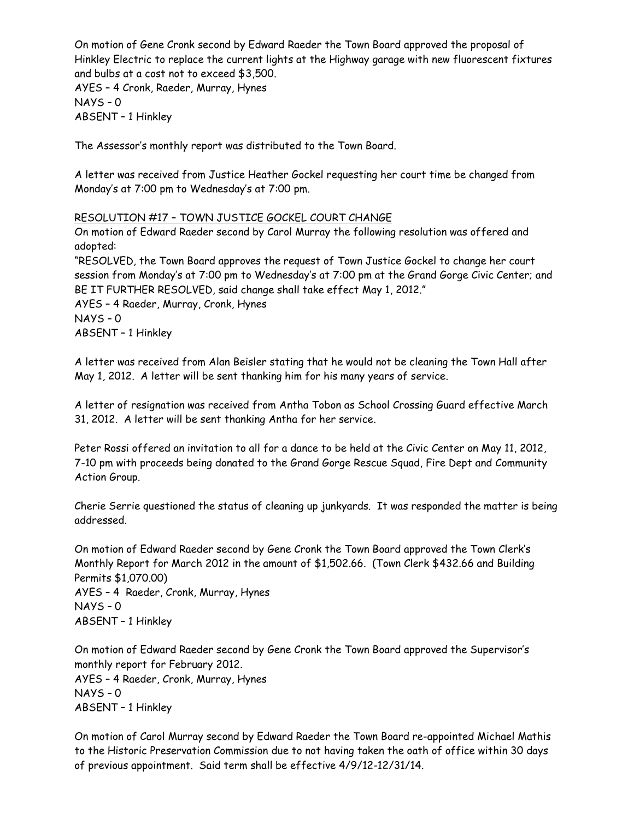On motion of Gene Cronk second by Edward Raeder the Town Board approved the proposal of Hinkley Electric to replace the current lights at the Highway garage with new fluorescent fixtures and bulbs at a cost not to exceed \$3,500.

AYES – 4 Cronk, Raeder, Murray, Hynes NAYS – 0 ABSENT – 1 Hinkley

The Assessor's monthly report was distributed to the Town Board.

A letter was received from Justice Heather Gockel requesting her court time be changed from Monday's at 7:00 pm to Wednesday's at 7:00 pm.

## RESOLUTION #17 – TOWN JUSTICE GOCKEL COURT CHANGE

On motion of Edward Raeder second by Carol Murray the following resolution was offered and adopted:

"RESOLVED, the Town Board approves the request of Town Justice Gockel to change her court session from Monday's at 7:00 pm to Wednesday's at 7:00 pm at the Grand Gorge Civic Center; and BE IT FURTHER RESOLVED, said change shall take effect May 1, 2012."

AYES – 4 Raeder, Murray, Cronk, Hynes NAYS – 0

ABSENT – 1 Hinkley

A letter was received from Alan Beisler stating that he would not be cleaning the Town Hall after May 1, 2012. A letter will be sent thanking him for his many years of service.

A letter of resignation was received from Antha Tobon as School Crossing Guard effective March 31, 2012. A letter will be sent thanking Antha for her service.

Peter Rossi offered an invitation to all for a dance to be held at the Civic Center on May 11, 2012, 7-10 pm with proceeds being donated to the Grand Gorge Rescue Squad, Fire Dept and Community Action Group.

Cherie Serrie questioned the status of cleaning up junkyards. It was responded the matter is being addressed.

On motion of Edward Raeder second by Gene Cronk the Town Board approved the Town Clerk's Monthly Report for March 2012 in the amount of \$1,502.66. (Town Clerk \$432.66 and Building Permits \$1,070.00) AYES – 4 Raeder, Cronk, Murray, Hynes NAYS – 0 ABSENT – 1 Hinkley

On motion of Edward Raeder second by Gene Cronk the Town Board approved the Supervisor's monthly report for February 2012. AYES – 4 Raeder, Cronk, Murray, Hynes NAYS – 0 ABSENT – 1 Hinkley

On motion of Carol Murray second by Edward Raeder the Town Board re-appointed Michael Mathis to the Historic Preservation Commission due to not having taken the oath of office within 30 days of previous appointment. Said term shall be effective 4/9/12-12/31/14.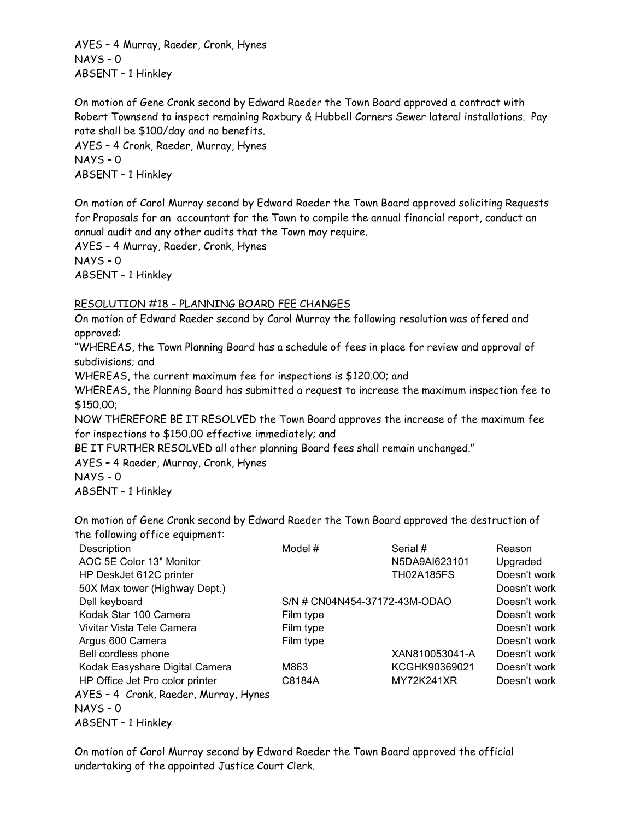AYES – 4 Murray, Raeder, Cronk, Hynes NAYS – 0 ABSENT – 1 Hinkley

On motion of Gene Cronk second by Edward Raeder the Town Board approved a contract with Robert Townsend to inspect remaining Roxbury & Hubbell Corners Sewer lateral installations. Pay rate shall be \$100/day and no benefits.

AYES – 4 Cronk, Raeder, Murray, Hynes NAYS – 0 ABSENT – 1 Hinkley

On motion of Carol Murray second by Edward Raeder the Town Board approved soliciting Requests for Proposals for an accountant for the Town to compile the annual financial report, conduct an annual audit and any other audits that the Town may require.

AYES – 4 Murray, Raeder, Cronk, Hynes NAYS – 0 ABSENT – 1 Hinkley

# RESOLUTION #18 – PLANNING BOARD FEE CHANGES

On motion of Edward Raeder second by Carol Murray the following resolution was offered and approved:

"WHEREAS, the Town Planning Board has a schedule of fees in place for review and approval of subdivisions; and

WHEREAS, the current maximum fee for inspections is \$120.00; and

WHEREAS, the Planning Board has submitted a request to increase the maximum inspection fee to \$150.00;

NOW THEREFORE BE IT RESOLVED the Town Board approves the increase of the maximum fee for inspections to \$150.00 effective immediately; and

BE IT FURTHER RESOLVED all other planning Board fees shall remain unchanged."

AYES – 4 Raeder, Murray, Cronk, Hynes

NAYS – 0

ABSENT – 1 Hinkley

On motion of Gene Cronk second by Edward Raeder the Town Board approved the destruction of the following office equipment:

| Description                           | Model #                       | Serial #          | Reason       |
|---------------------------------------|-------------------------------|-------------------|--------------|
| AOC 5E Color 13" Monitor              |                               | N5DA9AI623101     | Upgraded     |
| HP DeskJet 612C printer               |                               | <b>TH02A185FS</b> | Doesn't work |
| 50X Max tower (Highway Dept.)         |                               |                   | Doesn't work |
| Dell keyboard                         | S/N # CN04N454-37172-43M-ODAO |                   | Doesn't work |
| Kodak Star 100 Camera                 | Film type                     |                   | Doesn't work |
| Vivitar Vista Tele Camera             | Film type                     |                   | Doesn't work |
| Argus 600 Camera                      | Film type                     |                   | Doesn't work |
| Bell cordless phone                   |                               | XAN810053041-A    | Doesn't work |
| Kodak Easyshare Digital Camera        | M863                          | KCGHK90369021     | Doesn't work |
| HP Office Jet Pro color printer       | C8184A                        | MY72K241XR        | Doesn't work |
| AYES - 4 Cronk, Raeder, Murray, Hynes |                               |                   |              |
| $NAYS - 0$                            |                               |                   |              |
| ABSENT - 1 Hinkley                    |                               |                   |              |

On motion of Carol Murray second by Edward Raeder the Town Board approved the official undertaking of the appointed Justice Court Clerk.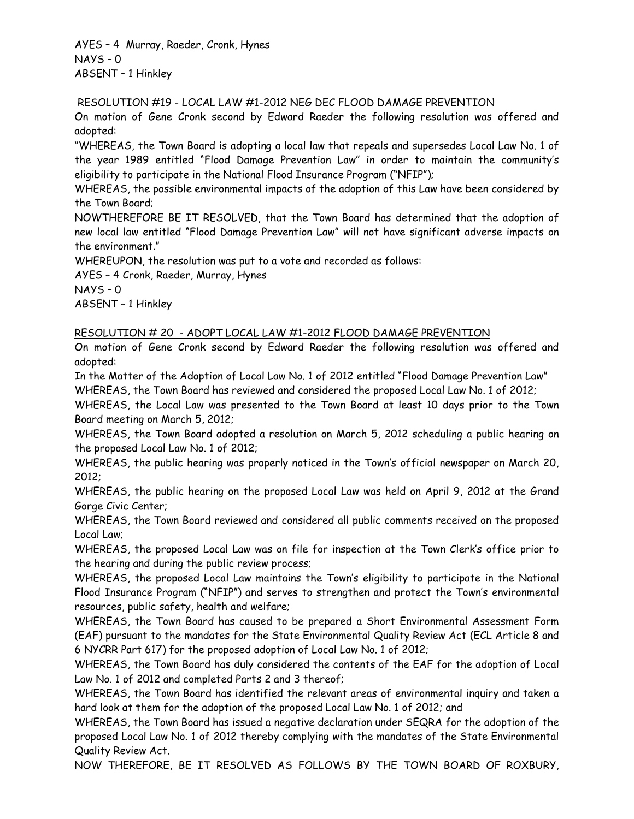AYES – 4 Murray, Raeder, Cronk, Hynes NAYS – 0 ABSENT – 1 Hinkley

#### RESOLUTION #19 - LOCAL LAW #1-2012 NEG DEC FLOOD DAMAGE PREVENTION

On motion of Gene Cronk second by Edward Raeder the following resolution was offered and adopted:

"WHEREAS, the Town Board is adopting a local law that repeals and supersedes Local Law No. 1 of the year 1989 entitled "Flood Damage Prevention Law" in order to maintain the community's eligibility to participate in the National Flood Insurance Program ("NFIP");

WHEREAS, the possible environmental impacts of the adoption of this Law have been considered by the Town Board;

NOWTHEREFORE BE IT RESOLVED, that the Town Board has determined that the adoption of new local law entitled "Flood Damage Prevention Law" will not have significant adverse impacts on the environment."

WHEREUPON, the resolution was put to a vote and recorded as follows:

AYES – 4 Cronk, Raeder, Murray, Hynes NAYS – 0

ABSENT – 1 Hinkley

## RESOLUTION # 20 - ADOPT LOCAL LAW #1-2012 FLOOD DAMAGE PREVENTION

On motion of Gene Cronk second by Edward Raeder the following resolution was offered and adopted:

In the Matter of the Adoption of Local Law No. 1 of 2012 entitled "Flood Damage Prevention Law" WHEREAS, the Town Board has reviewed and considered the proposed Local Law No. 1 of 2012;

WHEREAS, the Local Law was presented to the Town Board at least 10 days prior to the Town Board meeting on March 5, 2012;

WHEREAS, the Town Board adopted a resolution on March 5, 2012 scheduling a public hearing on the proposed Local Law No. 1 of 2012;

WHEREAS, the public hearing was properly noticed in the Town's official newspaper on March 20, 2012;

WHEREAS, the public hearing on the proposed Local Law was held on April 9, 2012 at the Grand Gorge Civic Center;

WHEREAS, the Town Board reviewed and considered all public comments received on the proposed Local Law;

WHEREAS, the proposed Local Law was on file for inspection at the Town Clerk's office prior to the hearing and during the public review process;

WHEREAS, the proposed Local Law maintains the Town's eligibility to participate in the National Flood Insurance Program ("NFIP") and serves to strengthen and protect the Town's environmental resources, public safety, health and welfare;

WHEREAS, the Town Board has caused to be prepared a Short Environmental Assessment Form (EAF) pursuant to the mandates for the State Environmental Quality Review Act (ECL Article 8 and 6 NYCRR Part 617) for the proposed adoption of Local Law No. 1 of 2012;

WHEREAS, the Town Board has duly considered the contents of the EAF for the adoption of Local Law No. 1 of 2012 and completed Parts 2 and 3 thereof;

WHEREAS, the Town Board has identified the relevant areas of environmental inquiry and taken a hard look at them for the adoption of the proposed Local Law No. 1 of 2012; and

WHEREAS, the Town Board has issued a negative declaration under SEQRA for the adoption of the proposed Local Law No. 1 of 2012 thereby complying with the mandates of the State Environmental Quality Review Act.

NOW THEREFORE, BE IT RESOLVED AS FOLLOWS BY THE TOWN BOARD OF ROXBURY,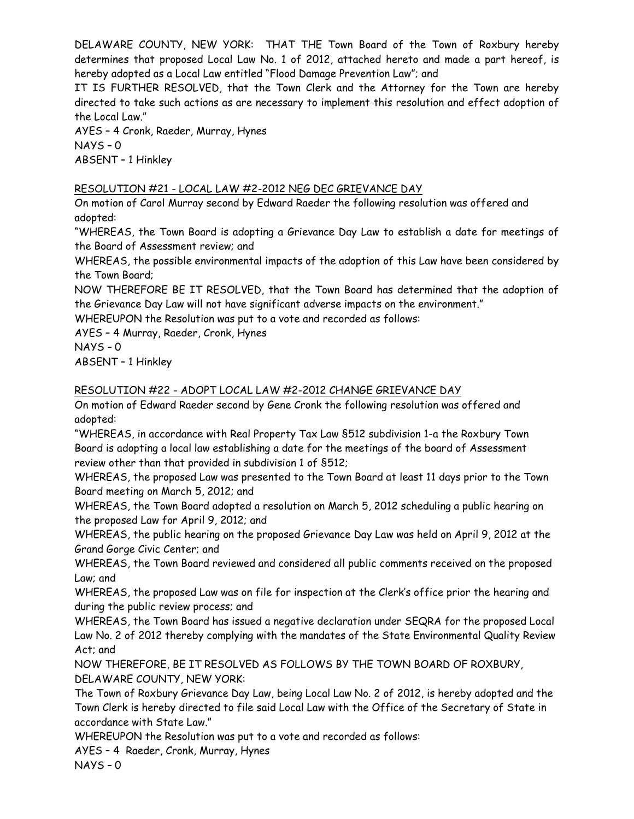DELAWARE COUNTY, NEW YORK: THAT THE Town Board of the Town of Roxbury hereby determines that proposed Local Law No. 1 of 2012, attached hereto and made a part hereof, is hereby adopted as a Local Law entitled "Flood Damage Prevention Law"; and

IT IS FURTHER RESOLVED, that the Town Clerk and the Attorney for the Town are hereby directed to take such actions as are necessary to implement this resolution and effect adoption of the Local Law."

AYES – 4 Cronk, Raeder, Murray, Hynes NAYS – 0 ABSENT – 1 Hinkley

# RESOLUTION #21 - LOCAL LAW #2-2012 NEG DEC GRIEVANCE DAY

On motion of Carol Murray second by Edward Raeder the following resolution was offered and adopted:

"WHEREAS, the Town Board is adopting a Grievance Day Law to establish a date for meetings of the Board of Assessment review; and

WHEREAS, the possible environmental impacts of the adoption of this Law have been considered by the Town Board;

NOW THEREFORE BE IT RESOLVED, that the Town Board has determined that the adoption of the Grievance Day Law will not have significant adverse impacts on the environment."

WHEREUPON the Resolution was put to a vote and recorded as follows:

AYES – 4 Murray, Raeder, Cronk, Hynes

NAYS – 0

ABSENT – 1 Hinkley

# RESOLUTION #22 - ADOPT LOCAL LAW #2-2012 CHANGE GRIEVANCE DAY

On motion of Edward Raeder second by Gene Cronk the following resolution was offered and adopted:

"WHEREAS, in accordance with Real Property Tax Law §512 subdivision 1-a the Roxbury Town Board is adopting a local law establishing a date for the meetings of the board of Assessment review other than that provided in subdivision 1 of §512;

WHEREAS, the proposed Law was presented to the Town Board at least 11 days prior to the Town Board meeting on March 5, 2012; and

WHEREAS, the Town Board adopted a resolution on March 5, 2012 scheduling a public hearing on the proposed Law for April 9, 2012; and

WHEREAS, the public hearing on the proposed Grievance Day Law was held on April 9, 2012 at the Grand Gorge Civic Center; and

WHEREAS, the Town Board reviewed and considered all public comments received on the proposed Law; and

WHEREAS, the proposed Law was on file for inspection at the Clerk's office prior the hearing and during the public review process; and

WHEREAS, the Town Board has issued a negative declaration under SEQRA for the proposed Local Law No. 2 of 2012 thereby complying with the mandates of the State Environmental Quality Review Act; and

NOW THEREFORE, BE IT RESOLVED AS FOLLOWS BY THE TOWN BOARD OF ROXBURY, DELAWARE COUNTY, NEW YORK:

The Town of Roxbury Grievance Day Law, being Local Law No. 2 of 2012, is hereby adopted and the Town Clerk is hereby directed to file said Local Law with the Office of the Secretary of State in accordance with State Law."

WHEREUPON the Resolution was put to a vote and recorded as follows:

AYES – 4 Raeder, Cronk, Murray, Hynes

NAYS – 0